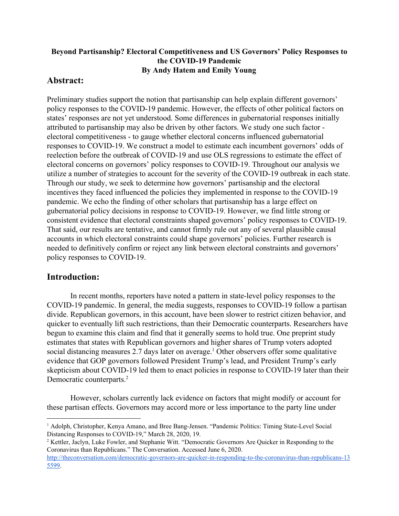### **Beyond Partisanship? Electoral Competitiveness and US Governors' Policy Responses to the COVID-19 Pandemic By Andy Hatem and Emily Young**

# **Abstract:**

Preliminary studies support the notion that partisanship can help explain different governors' policy responses to the COVID-19 pandemic. However, the effects of other political factors on states' responses are not yet understood. Some differences in gubernatorial responses initially attributed to partisanship may also be driven by other factors. We study one such factor electoral competitiveness - to gauge whether electoral concerns influenced gubernatorial responses to COVID-19. We construct a model to estimate each incumbent governors' odds of reelection before the outbreak of COVID-19 and use OLS regressions to estimate the effect of electoral concerns on governors' policy responses to COVID-19. Throughout our analysis we utilize a number of strategies to account for the severity of the COVID-19 outbreak in each state. Through our study, we seek to determine how governors' partisanship and the electoral incentives they faced influenced the policies they implemented in response to the COVID-19 pandemic. We echo the finding of other scholars that partisanship has a large effect on gubernatorial policy decisions in response to COVID-19. However, we find little strong or consistent evidence that electoral constraints shaped governors' policy responses to COVID-19. That said, our results are tentative, and cannot firmly rule out any of several plausible causal accounts in which electoral constraints could shape governors' policies. Further research is needed to definitively confirm or reject any link between electoral constraints and governors' policy responses to COVID-19.

# **Introduction:**

In recent months, reporters have noted a pattern in state-level policy responses to the COVID-19 pandemic. In general, the media suggests, responses to COVID-19 follow a partisan divide. Republican governors, in this account, have been slower to restrict citizen behavior, and quicker to eventually lift such restrictions, than their Democratic counterparts. Researchers have begun to examine this claim and find that it generally seems to hold true. One preprint study estimates that states with Republican governors and higher shares of Trump voters adopted social distancing measures 2.7 days later on average.<sup>1</sup> Other observers offer some qualitative evidence that GOP governors followed President Trump's lead, and President Trump's early skepticism about COVID-19 led them to enact policies in response to COVID-19 later than their Democratic counterparts.<sup>2</sup>

However, scholars currently lack evidence on factors that might modify or account for these partisan effects. Governors may accord more or less importance to the party line under

<sup>&</sup>lt;sup>1</sup> Adolph, Christopher, Kenya Amano, and Bree Bang-Jensen. "Pandemic Politics: Timing State-Level Social Distancing Responses to COVID-19," March 28, 2020, 19.

<sup>&</sup>lt;sup>2</sup> Kettler, Jaclyn, Luke Fowler, and Stephanie Witt. "Democratic Governors Are Quicker in Responding to the Coronavirus than Republicans." The Conversation. Accessed June 6, 2020[.](http://theconversation.com/democratic-governors-are-quicker-in-responding-to-the-coronavirus-than-republicans-135599)

[http://theconversation.com/democratic-governors-are-quicker-in-responding-to-the-coronavirus-than-republicans-13](http://theconversation.com/democratic-governors-are-quicker-in-responding-to-the-coronavirus-than-republicans-135599) [5599.](http://theconversation.com/democratic-governors-are-quicker-in-responding-to-the-coronavirus-than-republicans-135599)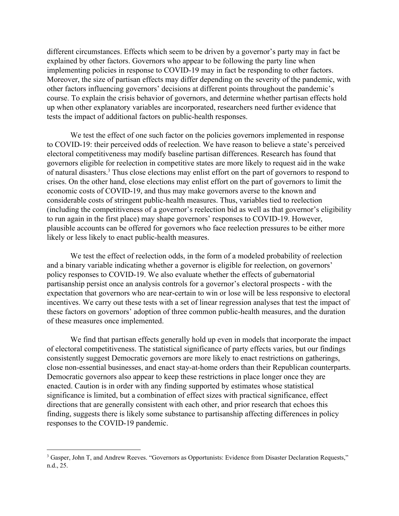different circumstances. Effects which seem to be driven by a governor's party may in fact be explained by other factors. Governors who appear to be following the party line when implementing policies in response to COVID-19 may in fact be responding to other factors. Moreover, the size of partisan effects may differ depending on the severity of the pandemic, with other factors influencing governors' decisions at different points throughout the pandemic's course. To explain the crisis behavior of governors, and determine whether partisan effects hold up when other explanatory variables are incorporated, researchers need further evidence that tests the impact of additional factors on public-health responses.

We test the effect of one such factor on the policies governors implemented in response to COVID-19: their perceived odds of reelection. We have reason to believe a state's perceived electoral competitiveness may modify baseline partisan differences. Research has found that governors eligible for reelection in competitive states are more likely to request aid in the wake of natural disasters.<sup>3</sup> Thus close elections may enlist effort on the part of governors to respond to crises. On the other hand, close elections may enlist effort on the part of governors to limit the economic costs of COVID-19, and thus may make governors averse to the known and considerable costs of stringent public-health measures. Thus, variables tied to reelection (including the competitiveness of a governor's reelection bid as well as that governor's eligibility to run again in the first place) may shape governors' responses to COVID-19. However, plausible accounts can be offered for governors who face reelection pressures to be either more likely or less likely to enact public-health measures.

We test the effect of reelection odds, in the form of a modeled probability of reelection and a binary variable indicating whether a governor is eligible for reelection, on governors' policy responses to COVID-19. We also evaluate whether the effects of gubernatorial partisanship persist once an analysis controls for a governor's electoral prospects - with the expectation that governors who are near-certain to win or lose will be less responsive to electoral incentives. We carry out these tests with a set of linear regression analyses that test the impact of these factors on governors' adoption of three common public-health measures, and the duration of these measures once implemented.

We find that partisan effects generally hold up even in models that incorporate the impact of electoral competitiveness. The statistical significance of party effects varies, but our findings consistently suggest Democratic governors are more likely to enact restrictions on gatherings, close non-essential businesses, and enact stay-at-home orders than their Republican counterparts. Democratic governors also appear to keep these restrictions in place longer once they are enacted. Caution is in order with any finding supported by estimates whose statistical significance is limited, but a combination of effect sizes with practical significance, effect directions that are generally consistent with each other, and prior research that echoes this finding, suggests there is likely some substance to partisanship affecting differences in policy responses to the COVID-19 pandemic.

<sup>&</sup>lt;sup>3</sup> Gasper, John T, and Andrew Reeves. "Governors as Opportunists: Evidence from Disaster Declaration Requests," n.d., 25.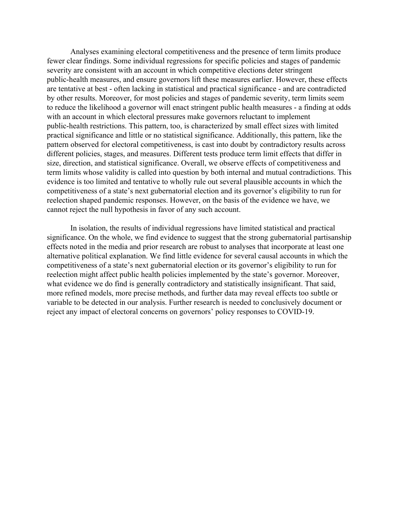Analyses examining electoral competitiveness and the presence of term limits produce fewer clear findings. Some individual regressions for specific policies and stages of pandemic severity are consistent with an account in which competitive elections deter stringent public-health measures, and ensure governors lift these measures earlier. However, these effects are tentative at best - often lacking in statistical and practical significance - and are contradicted by other results. Moreover, for most policies and stages of pandemic severity, term limits seem to reduce the likelihood a governor will enact stringent public health measures - a finding at odds with an account in which electoral pressures make governors reluctant to implement public-health restrictions. This pattern, too, is characterized by small effect sizes with limited practical significance and little or no statistical significance. Additionally, this pattern, like the pattern observed for electoral competitiveness, is cast into doubt by contradictory results across different policies, stages, and measures. Different tests produce term limit effects that differ in size, direction, and statistical significance. Overall, we observe effects of competitiveness and term limits whose validity is called into question by both internal and mutual contradictions. This evidence is too limited and tentative to wholly rule out several plausible accounts in which the competitiveness of a state's next gubernatorial election and its governor's eligibility to run for reelection shaped pandemic responses. However, on the basis of the evidence we have, we cannot reject the null hypothesis in favor of any such account.

In isolation, the results of individual regressions have limited statistical and practical significance. On the whole, we find evidence to suggest that the strong gubernatorial partisanship effects noted in the media and prior research are robust to analyses that incorporate at least one alternative political explanation. We find little evidence for several causal accounts in which the competitiveness of a state's next gubernatorial election or its governor's eligibility to run for reelection might affect public health policies implemented by the state's governor. Moreover, what evidence we do find is generally contradictory and statistically insignificant. That said, more refined models, more precise methods, and further data may reveal effects too subtle or variable to be detected in our analysis. Further research is needed to conclusively document or reject any impact of electoral concerns on governors' policy responses to COVID-19.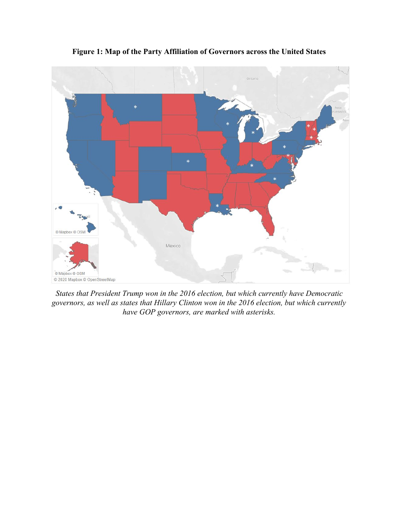

**Figure 1: Map of the Party Affiliation of Governors across the United States**

*States that President Trump won in the 2016 election, but which currently have Democratic governors, as well as states that Hillary Clinton won in the 2016 election, but which currently have GOP governors, are marked with asterisks.*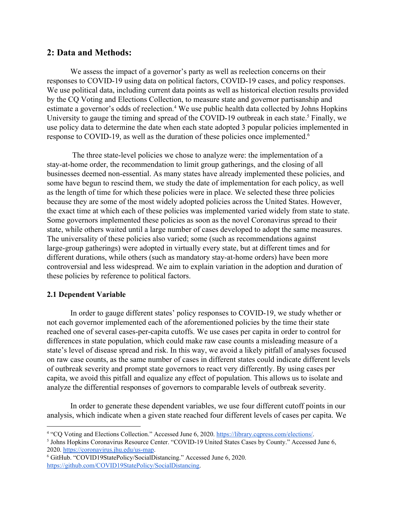# **2: Data and Methods:**

We assess the impact of a governor's party as well as reelection concerns on their responses to COVID-19 using data on political factors, COVID-19 cases, and policy responses. We use political data, including current data points as well as historical election results provided by the CQ Voting and Elections Collection, to measure state and governor partisanship and estimate a governor's odds of reelection.<sup>4</sup> We use public health data collected by Johns Hopkins University to gauge the timing and spread of the COVID-19 outbreak in each state.<sup>5</sup> Finally, we use policy data to determine the date when each state adopted 3 popular policies implemented in response to COVID-19, as well as the duration of these policies once implemented.<sup>6</sup>

 The three state-level policies we chose to analyze were: the implementation of a stay-at-home order, the recommendation to limit group gatherings, and the closing of all businesses deemed non-essential. As many states have already implemented these policies, and some have begun to rescind them, we study the date of implementation for each policy, as well as the length of time for which these policies were in place. We selected these three policies because they are some of the most widely adopted policies across the United States. However, the exact time at which each of these policies was implemented varied widely from state to state. Some governors implemented these policies as soon as the novel Coronavirus spread to their state, while others waited until a large number of cases developed to adopt the same measures. The universality of these policies also varied; some (such as recommendations against large-group gatherings) were adopted in virtually every state, but at different times and for different durations, while others (such as mandatory stay-at-home orders) have been more controversial and less widespread. We aim to explain variation in the adoption and duration of these policies by reference to political factors.

### **2.1 Dependent Variable**

In order to gauge different states' policy responses to COVID-19, we study whether or not each governor implemented each of the aforementioned policies by the time their state reached one of several cases-per-capita cutoffs. We use cases per capita in order to control for differences in state population, which could make raw case counts a misleading measure of a state's level of disease spread and risk. In this way, we avoid a likely pitfall of analyses focused on raw case counts, as the same number of cases in different states could indicate different levels of outbreak severity and prompt state governors to react very differently. By using cases per capita, we avoid this pitfall and equalize any effect of population. This allows us to isolate and analyze the differential responses of governors to comparable levels of outbreak severity.

In order to generate these dependent variables, we use four different cutoff points in our analysis, which indicate when a given state reached four different levels of cases per capita. We

<sup>4</sup> "CQ Voting and Elections Collection." Accessed June 6, 2020. <https://library.cqpress.com/elections/>.

<sup>5</sup> Johns Hopkins Coronavirus Resource Center. "COVID-19 United States Cases by County." Accessed June 6, 2020[.](https://coronavirus.jhu.edu/us-map) <https://coronavirus.jhu.edu/us-map>.

<sup>6</sup> GitHub. "COVID19StatePolicy/SocialDistancing." Accessed June 6, 2020[.](https://github.com/COVID19StatePolicy/SocialDistancing) <https://github.com/COVID19StatePolicy/SocialDistancing>.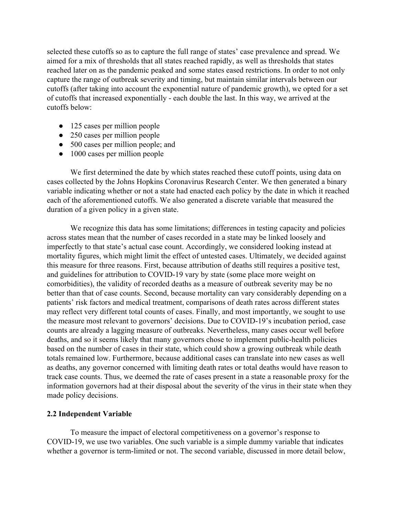selected these cutoffs so as to capture the full range of states' case prevalence and spread. We aimed for a mix of thresholds that all states reached rapidly, as well as thresholds that states reached later on as the pandemic peaked and some states eased restrictions. In order to not only capture the range of outbreak severity and timing, but maintain similar intervals between our cutoffs (after taking into account the exponential nature of pandemic growth), we opted for a set of cutoffs that increased exponentially - each double the last. In this way, we arrived at the cutoffs below:

- 125 cases per million people
- 250 cases per million people
- 500 cases per million people; and
- 1000 cases per million people

We first determined the date by which states reached these cutoff points, using data on cases collected by the Johns Hopkins Coronavirus Research Center. We then generated a binary variable indicating whether or not a state had enacted each policy by the date in which it reached each of the aforementioned cutoffs. We also generated a discrete variable that measured the duration of a given policy in a given state.

We recognize this data has some limitations; differences in testing capacity and policies across states mean that the number of cases recorded in a state may be linked loosely and imperfectly to that state's actual case count. Accordingly, we considered looking instead at mortality figures, which might limit the effect of untested cases. Ultimately, we decided against this measure for three reasons. First, because attribution of deaths still requires a positive test, and guidelines for attribution to COVID-19 vary by state (some place more weight on comorbidities), the validity of recorded deaths as a measure of outbreak severity may be no better than that of case counts. Second, because mortality can vary considerably depending on a patients' risk factors and medical treatment, comparisons of death rates across different states may reflect very different total counts of cases. Finally, and most importantly, we sought to use the measure most relevant to governors' decisions. Due to COVID-19's incubation period, case counts are already a lagging measure of outbreaks. Nevertheless, many cases occur well before deaths, and so it seems likely that many governors chose to implement public-health policies based on the number of cases in their state, which could show a growing outbreak while death totals remained low. Furthermore, because additional cases can translate into new cases as well as deaths, any governor concerned with limiting death rates or total deaths would have reason to track case counts. Thus, we deemed the rate of cases present in a state a reasonable proxy for the information governors had at their disposal about the severity of the virus in their state when they made policy decisions.

#### **2.2 Independent Variable**

To measure the impact of electoral competitiveness on a governor's response to COVID-19, we use two variables. One such variable is a simple dummy variable that indicates whether a governor is term-limited or not. The second variable, discussed in more detail below,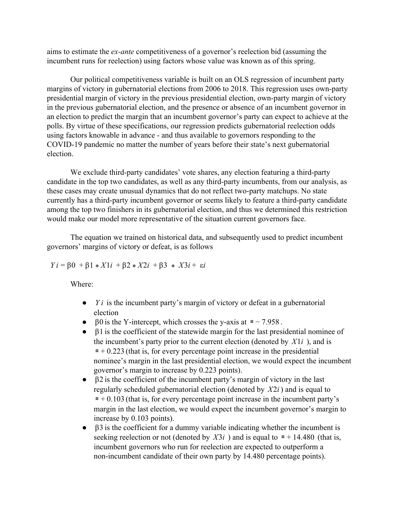aims to estimate the *ex-ante* competitiveness of a governor's reelection bid (assuming the incumbent runs for reelection) using factors whose value was known as of this spring.

Our political competitiveness variable is built on an OLS regression of incumbent party margins of victory in gubernatorial elections from 2006 to 2018. This regression uses own-party presidential margin of victory in the previous presidential election, own-party margin of victory in the previous gubernatorial election, and the presence or absence of an incumbent governor in an election to predict the margin that an incumbent governor's party can expect to achieve at the polls. By virtue of these specifications, our regression predicts gubernatorial reelection odds using factors knowable in advance - and thus available to governors responding to the COVID-19 pandemic no matter the number of years before their state's next gubernatorial election.

We exclude third-party candidates' vote shares, any election featuring a third-party candidate in the top two candidates, as well as any third-party incumbents, from our analysis, as these cases may create unusual dynamics that do not reflect two-party matchups. No state currently has a third-party incumbent governor or seems likely to feature a third-party candidate among the top two finishers in its gubernatorial election, and thus we determined this restriction would make our model more representative of the situation current governors face.

The equation we trained on historical data, and subsequently used to predict incumbent governors' margins of victory or defeat, is as follows

*Y i* = β0 + β1 \* *X*1*i* + β2 \* *X*2*i* + β3 \* *X*3*i* + ε*i*

Where:

- *Y i* is the incumbent party's margin of victory or defeat in a gubernatorial election
- $\bullet$  β0 is the Y-intercept, which crosses the y-axis at  $\epsilon = -7.958$ .
- β1 is the coefficient of the statewide margin for the last presidential nominee of the incumbent's party prior to the current election (denoted by  $X1i$ ), and is  $\epsilon$  = + 0.223 (that is, for every percentage point increase in the presidential nominee's margin in the last presidential election, we would expect the incumbent governor's margin to increase by 0.223 points).
- $\bullet$   $\beta$ 2 is the coefficient of the incumbent party's margin of victory in the last regularly scheduled gubernatorial election (denoted by *X*2*i* ) and is equal to  $\epsilon$  = + 0.103 (that is, for every percentage point increase in the incumbent party's margin in the last election, we would expect the incumbent governor's margin to increase by 0.103 points).
- β3 is the coefficient for a dummy variable indicating whether the incumbent is seeking reelection or not (denoted by  $X3i$ ) and is equal to  $\approx$  + 14.480 (that is, incumbent governors who run for reelection are expected to outperform a non-incumbent candidate of their own party by 14.480 percentage points).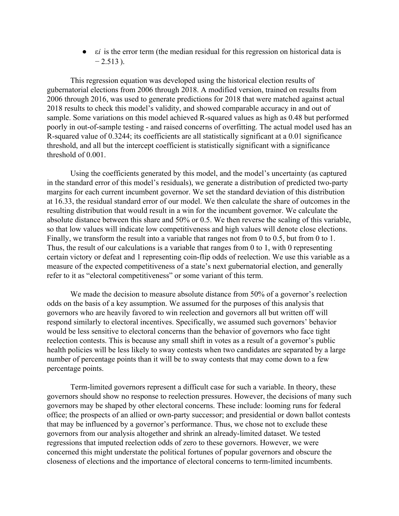● ε*i* is the error term (the median residual for this regression on historical data is  $-2.513$ ).

This regression equation was developed using the historical election results of gubernatorial elections from 2006 through 2018. A modified version, trained on results from 2006 through 2016, was used to generate predictions for 2018 that were matched against actual 2018 results to check this model's validity, and showed comparable accuracy in and out of sample. Some variations on this model achieved R-squared values as high as 0.48 but performed poorly in out-of-sample testing - and raised concerns of overfitting. The actual model used has an R-squared value of 0.3244; its coefficients are all statistically significant at a 0.01 significance threshold, and all but the intercept coefficient is statistically significant with a significance threshold of 0.001.

Using the coefficients generated by this model, and the model's uncertainty (as captured in the standard error of this model's residuals), we generate a distribution of predicted two-party margins for each current incumbent governor. We set the standard deviation of this distribution at 16.33, the residual standard error of our model. We then calculate the share of outcomes in the resulting distribution that would result in a win for the incumbent governor. We calculate the absolute distance between this share and 50% or 0.5. We then reverse the scaling of this variable, so that low values will indicate low competitiveness and high values will denote close elections. Finally, we transform the result into a variable that ranges not from 0 to 0.5, but from 0 to 1. Thus, the result of our calculations is a variable that ranges from 0 to 1, with 0 representing certain victory or defeat and 1 representing coin-flip odds of reelection. We use this variable as a measure of the expected competitiveness of a state's next gubernatorial election, and generally refer to it as "electoral competitiveness" or some variant of this term.

We made the decision to measure absolute distance from 50% of a governor's reelection odds on the basis of a key assumption. We assumed for the purposes of this analysis that governors who are heavily favored to win reelection and governors all but written off will respond similarly to electoral incentives. Specifically, we assumed such governors' behavior would be less sensitive to electoral concerns than the behavior of governors who face tight reelection contests. This is because any small shift in votes as a result of a governor's public health policies will be less likely to sway contests when two candidates are separated by a large number of percentage points than it will be to sway contests that may come down to a few percentage points.

Term-limited governors represent a difficult case for such a variable. In theory, these governors should show no response to reelection pressures. However, the decisions of many such governors may be shaped by other electoral concerns. These include: looming runs for federal office; the prospects of an allied or own-party successor; and presidential or down ballot contests that may be influenced by a governor's performance. Thus, we chose not to exclude these governors from our analysis altogether and shrink an already-limited dataset. We tested regressions that imputed reelection odds of zero to these governors. However, we were concerned this might understate the political fortunes of popular governors and obscure the closeness of elections and the importance of electoral concerns to term-limited incumbents.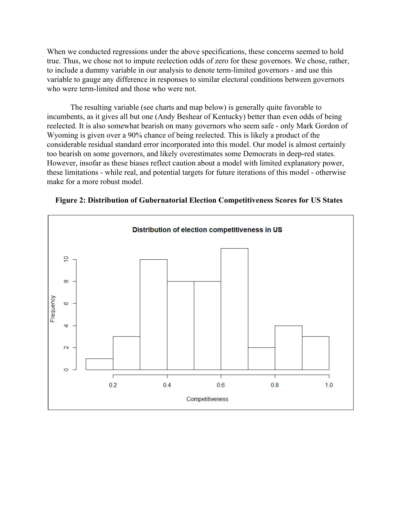When we conducted regressions under the above specifications, these concerns seemed to hold true. Thus, we chose not to impute reelection odds of zero for these governors. We chose, rather, to include a dummy variable in our analysis to denote term-limited governors - and use this variable to gauge any difference in responses to similar electoral conditions between governors who were term-limited and those who were not.

The resulting variable (see charts and map below) is generally quite favorable to incumbents, as it gives all but one (Andy Beshear of Kentucky) better than even odds of being reelected. It is also somewhat bearish on many governors who seem safe - only Mark Gordon of Wyoming is given over a 90% chance of being reelected. This is likely a product of the considerable residual standard error incorporated into this model. Our model is almost certainly too bearish on some governors, and likely overestimates some Democrats in deep-red states. However, insofar as these biases reflect caution about a model with limited explanatory power, these limitations - while real, and potential targets for future iterations of this model - otherwise make for a more robust model.



**Figure 2: Distribution of Gubernatorial Election Competitiveness Scores for US States**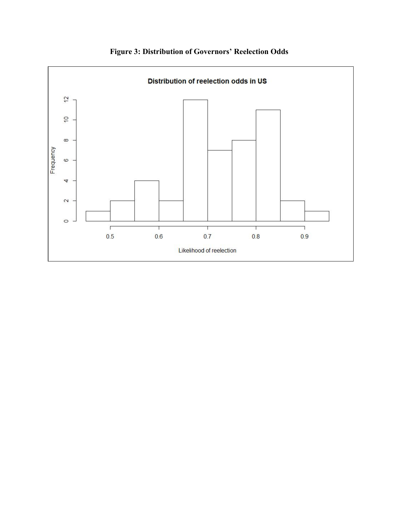

**Figure 3: Distribution of Governors' Reelection Odds**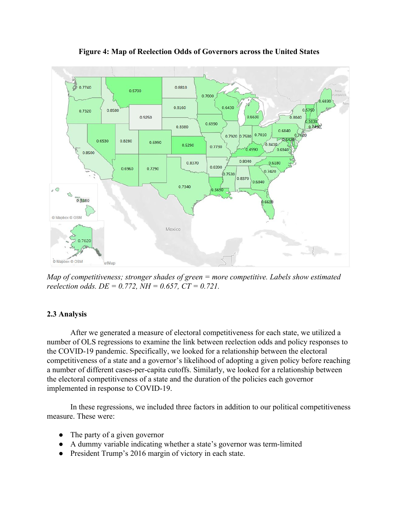

**Figure 4: Map of Reelection Odds of Governors across the United States**

*Map of competitiveness; stronger shades of green = more competitive. Labels show estimated reelection odds. DE = 0.772, NH = 0.657, CT = 0.721.*

#### **2.3 Analysis**

After we generated a measure of electoral competitiveness for each state, we utilized a number of OLS regressions to examine the link between reelection odds and policy responses to the COVID-19 pandemic. Specifically, we looked for a relationship between the electoral competitiveness of a state and a governor's likelihood of adopting a given policy before reaching a number of different cases-per-capita cutoffs. Similarly, we looked for a relationship between the electoral competitiveness of a state and the duration of the policies each governor implemented in response to COVID-19.

In these regressions, we included three factors in addition to our political competitiveness measure. These were:

- The party of a given governor
- A dummy variable indicating whether a state's governor was term-limited
- President Trump's 2016 margin of victory in each state.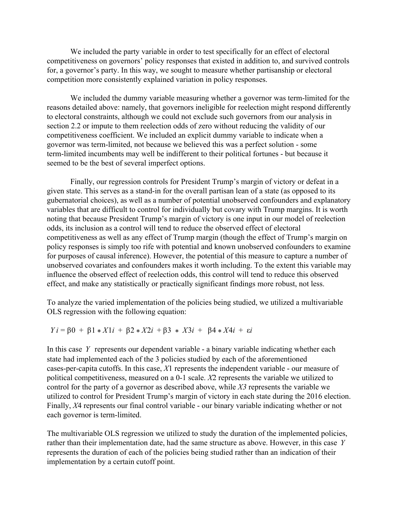We included the party variable in order to test specifically for an effect of electoral competitiveness on governors' policy responses that existed in addition to, and survived controls for, a governor's party. In this way, we sought to measure whether partisanship or electoral competition more consistently explained variation in policy responses.

We included the dummy variable measuring whether a governor was term-limited for the reasons detailed above: namely, that governors ineligible for reelection might respond differently to electoral constraints, although we could not exclude such governors from our analysis in section 2.2 or impute to them reelection odds of zero without reducing the validity of our competitiveness coefficient. We included an explicit dummy variable to indicate when a governor was term-limited, not because we believed this was a perfect solution - some term-limited incumbents may well be indifferent to their political fortunes - but because it seemed to be the best of several imperfect options.

Finally, our regression controls for President Trump's margin of victory or defeat in a given state. This serves as a stand-in for the overall partisan lean of a state (as opposed to its gubernatorial choices), as well as a number of potential unobserved confounders and explanatory variables that are difficult to control for individually but covary with Trump margins. It is worth noting that because President Trump's margin of victory is one input in our model of reelection odds, its inclusion as a control will tend to reduce the observed effect of electoral competitiveness as well as any effect of Trump margin (though the effect of Trump's margin on policy responses is simply too rife with potential and known unobserved confounders to examine for purposes of causal inference). However, the potential of this measure to capture a number of unobserved covariates and confounders makes it worth including. To the extent this variable may influence the observed effect of reelection odds, this control will tend to reduce this observed effect, and make any statistically or practically significant findings more robust, not less.

To analyze the varied implementation of the policies being studied, we utilized a multivariable OLS regression with the following equation:

*Y i* = β0 + β1 \* *X*1*i* + β2 \* *X*2*i* + β3 \* *X*3*i* + β4 \* *X*4*i* + ε*i*

In this case *Y* represents our dependent variable - a binary variable indicating whether each state had implemented each of the 3 policies studied by each of the aforementioned cases-per-capita cutoffs. In this case, *X*1 represents the independent variable - our measure of political competitiveness, measured on a 0-1 scale. *X*2 represents the variable we utilized to control for the party of a governor as described above, while *X3* represents the variable we utilized to control for President Trump's margin of victory in each state during the 2016 election. Finally, *X*4 represents our final control variable - our binary variable indicating whether or not each governor is term-limited.

The multivariable OLS regression we utilized to study the duration of the implemented policies, rather than their implementation date, had the same structure as above. However, in this case *Y* represents the duration of each of the policies being studied rather than an indication of their implementation by a certain cutoff point.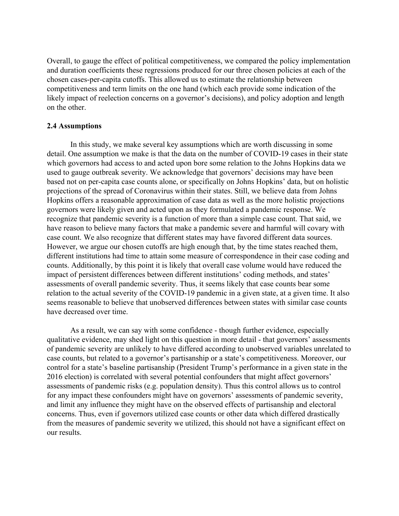Overall, to gauge the effect of political competitiveness, we compared the policy implementation and duration coefficients these regressions produced for our three chosen policies at each of the chosen cases-per-capita cutoffs. This allowed us to estimate the relationship between competitiveness and term limits on the one hand (which each provide some indication of the likely impact of reelection concerns on a governor's decisions), and policy adoption and length on the other.

#### **2.4 Assumptions**

In this study, we make several key assumptions which are worth discussing in some detail. One assumption we make is that the data on the number of COVID-19 cases in their state which governors had access to and acted upon bore some relation to the Johns Hopkins data we used to gauge outbreak severity. We acknowledge that governors' decisions may have been based not on per-capita case counts alone, or specifically on Johns Hopkins' data, but on holistic projections of the spread of Coronavirus within their states. Still, we believe data from Johns Hopkins offers a reasonable approximation of case data as well as the more holistic projections governors were likely given and acted upon as they formulated a pandemic response. We recognize that pandemic severity is a function of more than a simple case count. That said, we have reason to believe many factors that make a pandemic severe and harmful will covary with case count. We also recognize that different states may have favored different data sources. However, we argue our chosen cutoffs are high enough that, by the time states reached them, different institutions had time to attain some measure of correspondence in their case coding and counts. Additionally, by this point it is likely that overall case volume would have reduced the impact of persistent differences between different institutions' coding methods, and states' assessments of overall pandemic severity. Thus, it seems likely that case counts bear some relation to the actual severity of the COVID-19 pandemic in a given state, at a given time. It also seems reasonable to believe that unobserved differences between states with similar case counts have decreased over time.

As a result, we can say with some confidence - though further evidence, especially qualitative evidence, may shed light on this question in more detail - that governors' assessments of pandemic severity are unlikely to have differed according to unobserved variables unrelated to case counts, but related to a governor's partisanship or a state's competitiveness. Moreover, our control for a state's baseline partisanship (President Trump's performance in a given state in the 2016 election) is correlated with several potential confounders that might affect governors' assessments of pandemic risks (e.g. population density). Thus this control allows us to control for any impact these confounders might have on governors' assessments of pandemic severity, and limit any influence they might have on the observed effects of partisanship and electoral concerns. Thus, even if governors utilized case counts or other data which differed drastically from the measures of pandemic severity we utilized, this should not have a significant effect on our results.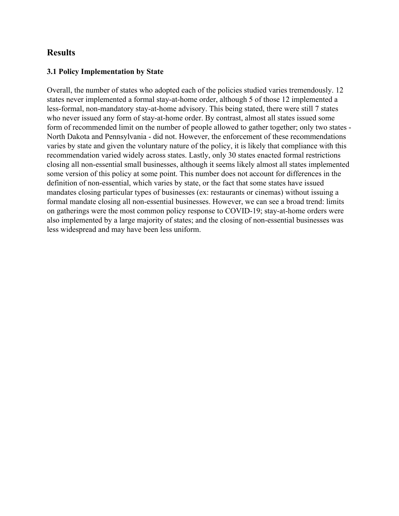# **Results**

### **3.1 Policy Implementation by State**

Overall, the number of states who adopted each of the policies studied varies tremendously. 12 states never implemented a formal stay-at-home order, although 5 of those 12 implemented a less-formal, non-mandatory stay-at-home advisory. This being stated, there were still 7 states who never issued any form of stay-at-home order. By contrast, almost all states issued some form of recommended limit on the number of people allowed to gather together; only two states - North Dakota and Pennsylvania - did not. However, the enforcement of these recommendations varies by state and given the voluntary nature of the policy, it is likely that compliance with this recommendation varied widely across states. Lastly, only 30 states enacted formal restrictions closing all non-essential small businesses, although it seems likely almost all states implemented some version of this policy at some point. This number does not account for differences in the definition of non-essential, which varies by state, or the fact that some states have issued mandates closing particular types of businesses (ex: restaurants or cinemas) without issuing a formal mandate closing all non-essential businesses. However, we can see a broad trend: limits on gatherings were the most common policy response to COVID-19; stay-at-home orders were also implemented by a large majority of states; and the closing of non-essential businesses was less widespread and may have been less uniform.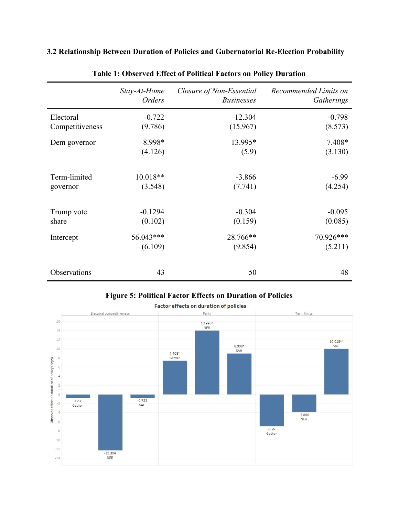| 3.2 Relationship Between Duration of Policies and Gubernatorial Re-Election Probability |  |  |  |  |
|-----------------------------------------------------------------------------------------|--|--|--|--|
|-----------------------------------------------------------------------------------------|--|--|--|--|

|                 | Stay-At-Home<br><b>Orders</b> | Closure of Non-Essential<br><b>Businesses</b> | Recommended Limits on<br>Gatherings |
|-----------------|-------------------------------|-----------------------------------------------|-------------------------------------|
| Electoral       | $-0.722$                      | $-12.304$                                     | $-0.798$                            |
| Competitiveness | (9.786)                       | (15.967)                                      | (8.573)                             |
| Dem governor    | 8.998*                        | 13.995*                                       | 7.408*                              |
|                 | (4.126)                       | (5.9)                                         | (3.130)                             |
| Term-limited    | $10.018**$                    | $-3.866$                                      | $-6.99$                             |
| governor        | (3.548)                       | (7.741)                                       | (4.254)                             |
| Trump vote      | $-0.1294$                     | $-0.304$                                      | $-0.095$                            |
| share           | (0.102)                       | (0.159)                                       | (0.085)                             |
| Intercept       | 56.043***                     | 28.766**                                      | 70.926***                           |
|                 | (6.109)                       | (9.854)                                       | (5.211)                             |
| Observations    | 43                            | 50                                            | 48                                  |

# **Table 1: Observed Effect of Political Factors on Policy Duration**

**Figure 5: Political Factor Effects on Duration of Policies**

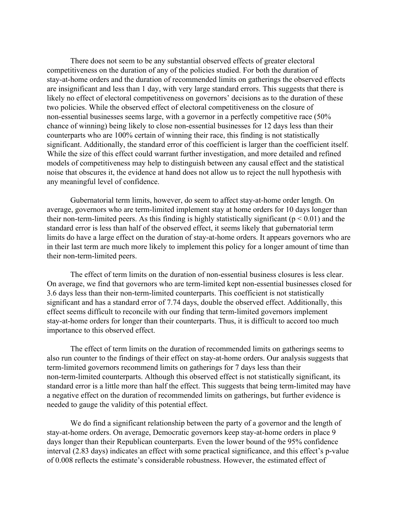There does not seem to be any substantial observed effects of greater electoral competitiveness on the duration of any of the policies studied. For both the duration of stay-at-home orders and the duration of recommended limits on gatherings the observed effects are insignificant and less than 1 day, with very large standard errors. This suggests that there is likely no effect of electoral competitiveness on governors' decisions as to the duration of these two policies. While the observed effect of electoral competitiveness on the closure of non-essential businesses seems large, with a governor in a perfectly competitive race (50% chance of winning) being likely to close non-essential businesses for 12 days less than their counterparts who are 100% certain of winning their race, this finding is not statistically significant. Additionally, the standard error of this coefficient is larger than the coefficient itself. While the size of this effect could warrant further investigation, and more detailed and refined models of competitiveness may help to distinguish between any causal effect and the statistical noise that obscures it, the evidence at hand does not allow us to reject the null hypothesis with any meaningful level of confidence.

Gubernatorial term limits, however, do seem to affect stay-at-home order length. On average, governors who are term-limited implement stay at home orders for 10 days longer than their non-term-limited peers. As this finding is highly statistically significant ( $p < 0.01$ ) and the standard error is less than half of the observed effect, it seems likely that gubernatorial term limits do have a large effect on the duration of stay-at-home orders. It appears governors who are in their last term are much more likely to implement this policy for a longer amount of time than their non-term-limited peers.

The effect of term limits on the duration of non-essential business closures is less clear. On average, we find that governors who are term-limited kept non-essential businesses closed for 3.6 days less than their non-term-limited counterparts. This coefficient is not statistically significant and has a standard error of 7.74 days, double the observed effect. Additionally, this effect seems difficult to reconcile with our finding that term-limited governors implement stay-at-home orders for longer than their counterparts. Thus, it is difficult to accord too much importance to this observed effect.

The effect of term limits on the duration of recommended limits on gatherings seems to also run counter to the findings of their effect on stay-at-home orders. Our analysis suggests that term-limited governors recommend limits on gatherings for 7 days less than their non-term-limited counterparts. Although this observed effect is not statistically significant, its standard error is a little more than half the effect. This suggests that being term-limited may have a negative effect on the duration of recommended limits on gatherings, but further evidence is needed to gauge the validity of this potential effect.

We do find a significant relationship between the party of a governor and the length of stay-at-home orders. On average, Democratic governors keep stay-at-home orders in place 9 days longer than their Republican counterparts. Even the lower bound of the 95% confidence interval (2.83 days) indicates an effect with some practical significance, and this effect's p-value of 0.008 reflects the estimate's considerable robustness. However, the estimated effect of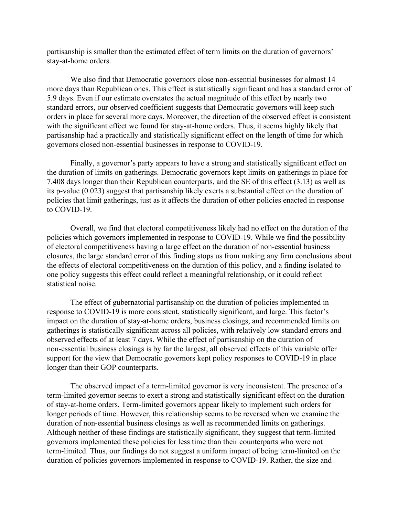partisanship is smaller than the estimated effect of term limits on the duration of governors' stay-at-home orders.

We also find that Democratic governors close non-essential businesses for almost 14 more days than Republican ones. This effect is statistically significant and has a standard error of 5.9 days. Even if our estimate overstates the actual magnitude of this effect by nearly two standard errors, our observed coefficient suggests that Democratic governors will keep such orders in place for several more days. Moreover, the direction of the observed effect is consistent with the significant effect we found for stay-at-home orders. Thus, it seems highly likely that partisanship had a practically and statistically significant effect on the length of time for which governors closed non-essential businesses in response to COVID-19.

Finally, a governor's party appears to have a strong and statistically significant effect on the duration of limits on gatherings. Democratic governors kept limits on gatherings in place for 7.408 days longer than their Republican counterparts, and the SE of this effect (3.13) as well as its p-value (0.023) suggest that partisanship likely exerts a substantial effect on the duration of policies that limit gatherings, just as it affects the duration of other policies enacted in response to COVID-19.

Overall, we find that electoral competitiveness likely had no effect on the duration of the policies which governors implemented in response to COVID-19. While we find the possibility of electoral competitiveness having a large effect on the duration of non-essential business closures, the large standard error of this finding stops us from making any firm conclusions about the effects of electoral competitiveness on the duration of this policy, and a finding isolated to one policy suggests this effect could reflect a meaningful relationship, or it could reflect statistical noise.

The effect of gubernatorial partisanship on the duration of policies implemented in response to COVID-19 is more consistent, statistically significant, and large. This factor's impact on the duration of stay-at-home orders, business closings, and recommended limits on gatherings is statistically significant across all policies, with relatively low standard errors and observed effects of at least 7 days. While the effect of partisanship on the duration of non-essential business closings is by far the largest, all observed effects of this variable offer support for the view that Democratic governors kept policy responses to COVID-19 in place longer than their GOP counterparts.

The observed impact of a term-limited governor is very inconsistent. The presence of a term-limited governor seems to exert a strong and statistically significant effect on the duration of stay-at-home orders. Term-limited governors appear likely to implement such orders for longer periods of time. However, this relationship seems to be reversed when we examine the duration of non-essential business closings as well as recommended limits on gatherings. Although neither of these findings are statistically significant, they suggest that term-limited governors implemented these policies for less time than their counterparts who were not term-limited. Thus, our findings do not suggest a uniform impact of being term-limited on the duration of policies governors implemented in response to COVID-19. Rather, the size and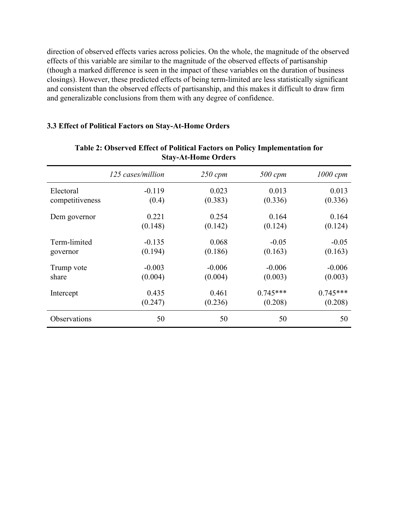direction of observed effects varies across policies. On the whole, the magnitude of the observed effects of this variable are similar to the magnitude of the observed effects of partisanship (though a marked difference is seen in the impact of these variables on the duration of business closings). However, these predicted effects of being term-limited are less statistically significant and consistent than the observed effects of partisanship, and this makes it difficult to draw firm and generalizable conclusions from them with any degree of confidence.

#### **3.3 Effect of Political Factors on Stay-At-Home Orders**

|                 | 125 cases/million | $250$ cpm | 500 cpm    | $1000$ cpm |
|-----------------|-------------------|-----------|------------|------------|
| Electoral       | $-0.119$          | 0.023     | 0.013      | 0.013      |
| competitiveness | (0.4)             | (0.383)   | (0.336)    | (0.336)    |
| Dem governor    | 0.221             | 0.254     | 0.164      | 0.164      |
|                 | (0.148)           | (0.142)   | (0.124)    | (0.124)    |
| Term-limited    | $-0.135$          | 0.068     | $-0.05$    | $-0.05$    |
| governor        | (0.194)           | (0.186)   | (0.163)    | (0.163)    |
| Trump vote      | $-0.003$          | $-0.006$  | $-0.006$   | $-0.006$   |
| share           | (0.004)           | (0.004)   | (0.003)    | (0.003)    |
| Intercept       | 0.435             | 0.461     | $0.745***$ | $0.745***$ |
|                 | (0.247)           | (0.236)   | (0.208)    | (0.208)    |
| Observations    | 50                | 50        | 50         | 50         |

#### **Table 2: Observed Effect of Political Factors on Policy Implementation for Stay-At-Home Orders**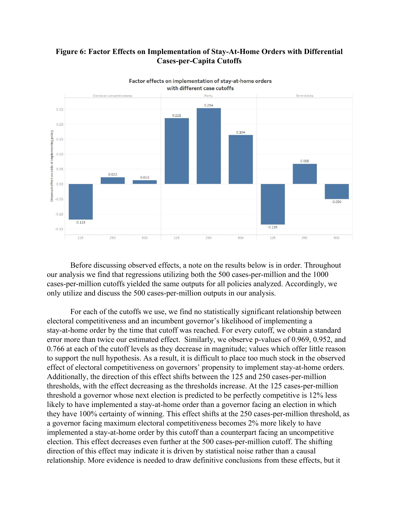### **Figure 6: Factor Effects on Implementation of Stay-At-Home Orders with Differential Cases-per-Capita Cutoffs**



Factor effects on implementation of stay-at-home orders with different case cutoffs

Before discussing observed effects, a note on the results below is in order. Throughout our analysis we find that regressions utilizing both the 500 cases-per-million and the 1000 cases-per-million cutoffs yielded the same outputs for all policies analyzed. Accordingly, we only utilize and discuss the 500 cases-per-million outputs in our analysis.

For each of the cutoffs we use, we find no statistically significant relationship between electoral competitiveness and an incumbent governor's likelihood of implementing a stay-at-home order by the time that cutoff was reached. For every cutoff, we obtain a standard error more than twice our estimated effect. Similarly, we observe p-values of 0.969, 0.952, and 0.766 at each of the cutoff levels as they decrease in magnitude; values which offer little reason to support the null hypothesis. As a result, it is difficult to place too much stock in the observed effect of electoral competitiveness on governors' propensity to implement stay-at-home orders. Additionally, the direction of this effect shifts between the 125 and 250 cases-per-million thresholds, with the effect decreasing as the thresholds increase. At the 125 cases-per-million threshold a governor whose next election is predicted to be perfectly competitive is 12% less likely to have implemented a stay-at-home order than a governor facing an election in which they have 100% certainty of winning. This effect shifts at the 250 cases-per-million threshold, as a governor facing maximum electoral competitiveness becomes 2% more likely to have implemented a stay-at-home order by this cutoff than a counterpart facing an uncompetitive election. This effect decreases even further at the 500 cases-per-million cutoff. The shifting direction of this effect may indicate it is driven by statistical noise rather than a causal relationship. More evidence is needed to draw definitive conclusions from these effects, but it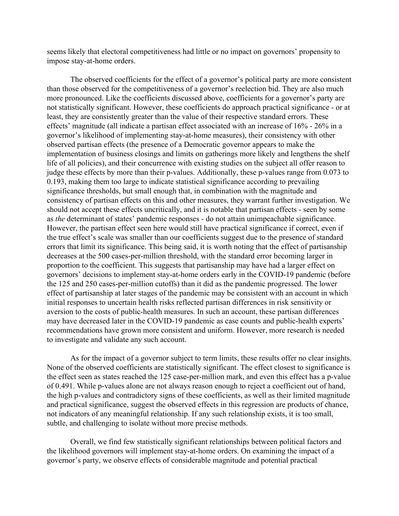seems likely that electoral competitiveness had little or no impact on governors' propensity to impose stay-at-home orders.

The observed coefficients for the effect of a governor's political party are more consistent than those observed for the competitiveness of a governor's reelection bid. They are also much more pronounced. Like the coefficients discussed above, coefficients for a governor's party are not statistically significant. However, these coefficients do approach practical significance - or at least, they are consistently greater than the value of their respective standard errors. These effects' magnitude (all indicate a partisan effect associated with an increase of 16% - 26% in a governor's likelihood of implementing stay-at-home measures), their consistency with other observed partisan effects (the presence of a Democratic governor appears to make the implementation of business closings and limits on gatherings more likely and lengthens the shelf life of all policies), and their concurrence with existing studies on the subject all offer reason to judge these effects by more than their p-values. Additionally, these p-values range from 0.073 to 0.193, making them too large to indicate statistical significance according to prevailing significance thresholds, but small enough that, in combination with the magnitude and consistency of partisan effects on this and other measures, they warrant further investigation. We should not accept these effects uncritically, and it is notable that partisan effects - seen by some as *the* determinant of states' pandemic responses - do not attain unimpeachable significance. However, the partisan effect seen here would still have practical significance if correct, even if the true effect's scale was smaller than our coefficients suggest due to the presence of standard errors that limit its significance. This being said, it is worth noting that the effect of partisanship decreases at the 500 cases-per-million threshold, with the standard error becoming larger in proportion to the coefficient. This suggests that partisanship may have had a larger effect on governors' decisions to implement stay-at-home orders early in the COVID-19 pandemic (before the 125 and 250 cases-per-million cutoffs) than it did as the pandemic progressed. The lower effect of partisanship at later stages of the pandemic may be consistent with an account in which initial responses to uncertain health risks reflected partisan differences in risk sensitivity or aversion to the costs of public-health measures. In such an account, these partisan differences may have decreased later in the COVID-19 pandemic as case counts and public-health experts' recommendations have grown more consistent and uniform. However, more research is needed to investigate and validate any such account.

As for the impact of a governor subject to term limits, these results offer no clear insights. None of the observed coefficients are statistically significant. The effect closest to significance is the effect seen as states reached the 125 case-per-million mark, and even this effect has a p-value of 0.491. While p-values alone are not always reason enough to reject a coefficient out of hand, the high p-values and contradictory signs of these coefficients, as well as their limited magnitude and practical significance, suggest the observed effects in this regression are products of chance, not indicators of any meaningful relationship. If any such relationship exists, it is too small, subtle, and challenging to isolate without more precise methods.

Overall, we find few statistically significant relationships between political factors and the likelihood governors will implement stay-at-home orders. On examining the impact of a governor's party, we observe effects of considerable magnitude and potential practical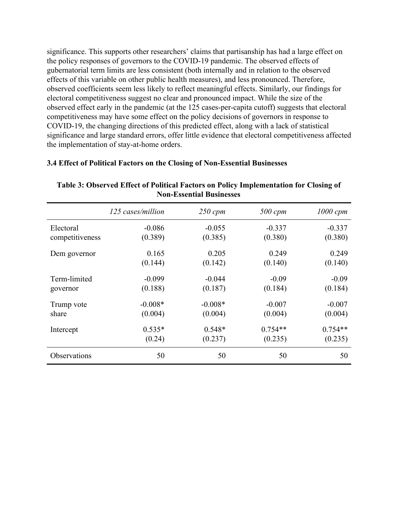significance. This supports other researchers' claims that partisanship has had a large effect on the policy responses of governors to the COVID-19 pandemic. The observed effects of gubernatorial term limits are less consistent (both internally and in relation to the observed effects of this variable on other public health measures), and less pronounced. Therefore, observed coefficients seem less likely to reflect meaningful effects. Similarly, our findings for electoral competitiveness suggest no clear and pronounced impact. While the size of the observed effect early in the pandemic (at the 125 cases-per-capita cutoff) suggests that electoral competitiveness may have some effect on the policy decisions of governors in response to COVID-19, the changing directions of this predicted effect, along with a lack of statistical significance and large standard errors, offer little evidence that electoral competitiveness affected the implementation of stay-at-home orders.

|                 | 125 cases/million | $250$ cpm | $500$ cpm | $1000$ cpm |
|-----------------|-------------------|-----------|-----------|------------|
| Electoral       | $-0.086$          | $-0.055$  | $-0.337$  | $-0.337$   |
| competitiveness | (0.389)           | (0.385)   | (0.380)   | (0.380)    |
| Dem governor    | 0.165             | 0.205     | 0.249     | 0.249      |
|                 | (0.144)           | (0.142)   | (0.140)   | (0.140)    |
| Term-limited    | $-0.099$          | $-0.044$  | $-0.09$   | $-0.09$    |
| governor        | (0.188)           | (0.187)   | (0.184)   | (0.184)    |
| Trump vote      | $-0.008*$         | $-0.008*$ | $-0.007$  | $-0.007$   |
| share           | (0.004)           | (0.004)   | (0.004)   | (0.004)    |
| Intercept       | $0.535*$          | $0.548*$  | $0.754**$ | $0.754**$  |
|                 | (0.24)            | (0.237)   | (0.235)   | (0.235)    |
| Observations    | 50                | 50        | 50        | 50         |

### **3.4 Effect of Political Factors on the Closing of Non-Essential Businesses**

**Table 3: Observed Effect of Political Factors on Policy Implementation for Closing of Non-Essential Businesses**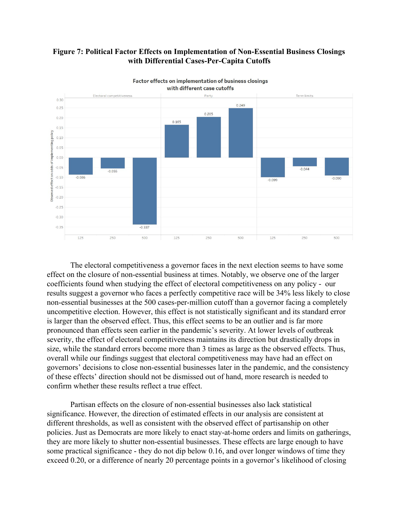



Factor effects on implementation of business closings

The electoral competitiveness a governor faces in the next election seems to have some effect on the closure of non-essential business at times. Notably, we observe one of the larger coefficients found when studying the effect of electoral competitiveness on any policy - our results suggest a governor who faces a perfectly competitive race will be 34% less likely to close non-essential businesses at the 500 cases-per-million cutoff than a governor facing a completely uncompetitive election. However, this effect is not statistically significant and its standard error is larger than the observed effect. Thus, this effect seems to be an outlier and is far more pronounced than effects seen earlier in the pandemic's severity. At lower levels of outbreak severity, the effect of electoral competitiveness maintains its direction but drastically drops in size, while the standard errors become more than 3 times as large as the observed effects. Thus, overall while our findings suggest that electoral competitiveness may have had an effect on governors' decisions to close non-essential businesses later in the pandemic, and the consistency of these effects' direction should not be dismissed out of hand, more research is needed to confirm whether these results reflect a true effect.

Partisan effects on the closure of non-essential businesses also lack statistical significance. However, the direction of estimated effects in our analysis are consistent at different thresholds, as well as consistent with the observed effect of partisanship on other policies. Just as Democrats are more likely to enact stay-at-home orders and limits on gatherings, they are more likely to shutter non-essential businesses. These effects are large enough to have some practical significance - they do not dip below 0.16, and over longer windows of time they exceed 0.20, or a difference of nearly 20 percentage points in a governor's likelihood of closing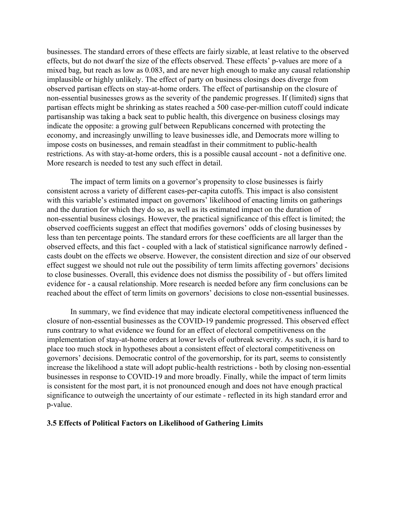businesses. The standard errors of these effects are fairly sizable, at least relative to the observed effects, but do not dwarf the size of the effects observed. These effects' p-values are more of a mixed bag, but reach as low as 0.083, and are never high enough to make any causal relationship implausible or highly unlikely. The effect of party on business closings does diverge from observed partisan effects on stay-at-home orders. The effect of partisanship on the closure of non-essential businesses grows as the severity of the pandemic progresses. If (limited) signs that partisan effects might be shrinking as states reached a 500 case-per-million cutoff could indicate partisanship was taking a back seat to public health, this divergence on business closings may indicate the opposite: a growing gulf between Republicans concerned with protecting the economy, and increasingly unwilling to leave businesses idle, and Democrats more willing to impose costs on businesses, and remain steadfast in their commitment to public-health restrictions. As with stay-at-home orders, this is a possible causal account - not a definitive one. More research is needed to test any such effect in detail.

The impact of term limits on a governor's propensity to close businesses is fairly consistent across a variety of different cases-per-capita cutoffs. This impact is also consistent with this variable's estimated impact on governors' likelihood of enacting limits on gatherings and the duration for which they do so, as well as its estimated impact on the duration of non-essential business closings. However, the practical significance of this effect is limited; the observed coefficients suggest an effect that modifies governors' odds of closing businesses by less than ten percentage points. The standard errors for these coefficients are all larger than the observed effects, and this fact - coupled with a lack of statistical significance narrowly defined casts doubt on the effects we observe. However, the consistent direction and size of our observed effect suggest we should not rule out the possibility of term limits affecting governors' decisions to close businesses. Overall, this evidence does not dismiss the possibility of - but offers limited evidence for - a causal relationship. More research is needed before any firm conclusions can be reached about the effect of term limits on governors' decisions to close non-essential businesses.

In summary, we find evidence that may indicate electoral competitiveness influenced the closure of non-essential businesses as the COVID-19 pandemic progressed. This observed effect runs contrary to what evidence we found for an effect of electoral competitiveness on the implementation of stay-at-home orders at lower levels of outbreak severity. As such, it is hard to place too much stock in hypotheses about a consistent effect of electoral competitiveness on governors' decisions. Democratic control of the governorship, for its part, seems to consistently increase the likelihood a state will adopt public-health restrictions - both by closing non-essential businesses in response to COVID-19 and more broadly. Finally, while the impact of term limits is consistent for the most part, it is not pronounced enough and does not have enough practical significance to outweigh the uncertainty of our estimate - reflected in its high standard error and p-value.

#### **3.5 Effects of Political Factors on Likelihood of Gathering Limits**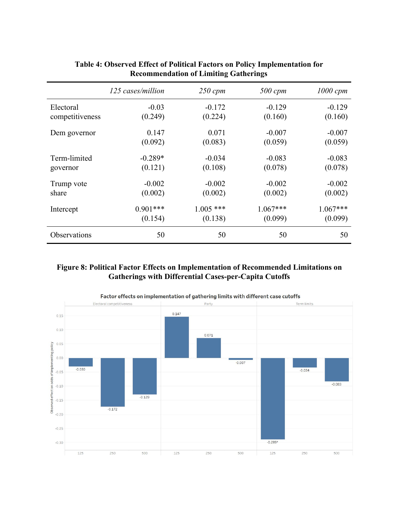|                 | 125 cases/million | $250$ cpm   | 500 cpm    | $1000$ cpm |
|-----------------|-------------------|-------------|------------|------------|
| Electoral       | $-0.03$           | $-0.172$    | $-0.129$   | $-0.129$   |
| competitiveness | (0.249)           | (0.224)     | (0.160)    | (0.160)    |
| Dem governor    | 0.147             | 0.071       | $-0.007$   | $-0.007$   |
|                 | (0.092)           | (0.083)     | (0.059)    | (0.059)    |
| Term-limited    | $-0.289*$         | $-0.034$    | $-0.083$   | $-0.083$   |
| governor        | (0.121)           | (0.108)     | (0.078)    | (0.078)    |
| Trump vote      | $-0.002$          | $-0.002$    | $-0.002$   | $-0.002$   |
| share           | (0.002)           | (0.002)     | (0.002)    | (0.002)    |
| Intercept       | $0.901***$        | $1.005$ *** | $1.067***$ | $1.067***$ |
|                 | (0.154)           | (0.138)     | (0.099)    | (0.099)    |
| Observations    | 50                | 50          | 50         | 50         |

# **Table 4: Observed Effect of Political Factors on Policy Implementation for Recommendation of Limiting Gatherings**

### **Figure 8: Political Factor Effects on Implementation of Recommended Limitations on Gatherings with Differential Cases-per-Capita Cutoffs**

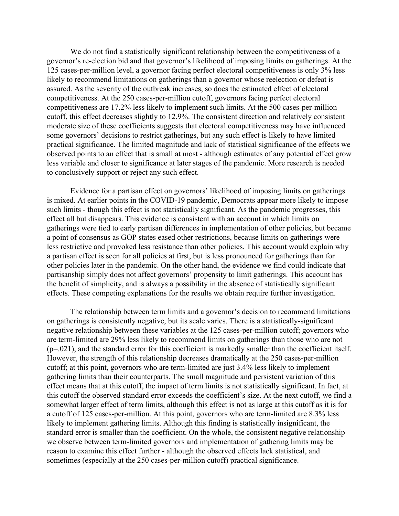We do not find a statistically significant relationship between the competitiveness of a governor's re-election bid and that governor's likelihood of imposing limits on gatherings. At the 125 cases-per-million level, a governor facing perfect electoral competitiveness is only 3% less likely to recommend limitations on gatherings than a governor whose reelection or defeat is assured. As the severity of the outbreak increases, so does the estimated effect of electoral competitiveness. At the 250 cases-per-million cutoff, governors facing perfect electoral competitiveness are 17.2% less likely to implement such limits. At the 500 cases-per-million cutoff, this effect decreases slightly to 12.9%. The consistent direction and relatively consistent moderate size of these coefficients suggests that electoral competitiveness may have influenced some governors' decisions to restrict gatherings, but any such effect is likely to have limited practical significance. The limited magnitude and lack of statistical significance of the effects we observed points to an effect that is small at most - although estimates of any potential effect grow less variable and closer to significance at later stages of the pandemic. More research is needed to conclusively support or reject any such effect.

Evidence for a partisan effect on governors' likelihood of imposing limits on gatherings is mixed. At earlier points in the COVID-19 pandemic, Democrats appear more likely to impose such limits - though this effect is not statistically significant. As the pandemic progresses, this effect all but disappears. This evidence is consistent with an account in which limits on gatherings were tied to early partisan differences in implementation of other policies, but became a point of consensus as GOP states eased other restrictions, because limits on gatherings were less restrictive and provoked less resistance than other policies. This account would explain why a partisan effect is seen for all policies at first, but is less pronounced for gatherings than for other policies later in the pandemic. On the other hand, the evidence we find could indicate that partisanship simply does not affect governors' propensity to limit gatherings. This account has the benefit of simplicity, and is always a possibility in the absence of statistically significant effects. These competing explanations for the results we obtain require further investigation.

The relationship between term limits and a governor's decision to recommend limitations on gatherings is consistently negative, but its scale varies. There is a statistically-significant negative relationship between these variables at the 125 cases-per-million cutoff; governors who are term-limited are 29% less likely to recommend limits on gatherings than those who are not (p=.021), and the standard error for this coefficient is markedly smaller than the coefficient itself. However, the strength of this relationship decreases dramatically at the 250 cases-per-million cutoff; at this point, governors who are term-limited are just 3.4% less likely to implement gathering limits than their counterparts. The small magnitude and persistent variation of this effect means that at this cutoff, the impact of term limits is not statistically significant. In fact, at this cutoff the observed standard error exceeds the coefficient's size. At the next cutoff, we find a somewhat larger effect of term limits, although this effect is not as large at this cutoff as it is for a cutoff of 125 cases-per-million. At this point, governors who are term-limited are 8.3% less likely to implement gathering limits. Although this finding is statistically insignificant, the standard error is smaller than the coefficient. On the whole, the consistent negative relationship we observe between term-limited governors and implementation of gathering limits may be reason to examine this effect further - although the observed effects lack statistical, and sometimes (especially at the 250 cases-per-million cutoff) practical significance.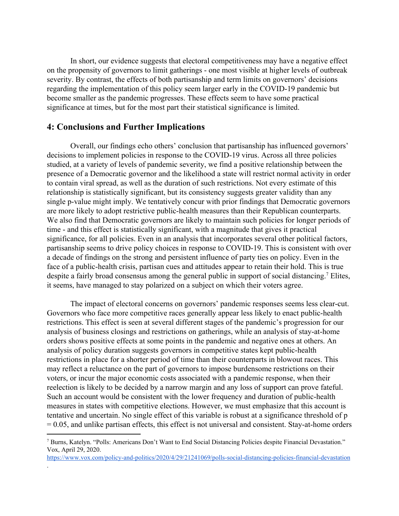In short, our evidence suggests that electoral competitiveness may have a negative effect on the propensity of governors to limit gatherings - one most visible at higher levels of outbreak severity. By contrast, the effects of both partisanship and term limits on governors' decisions regarding the implementation of this policy seem larger early in the COVID-19 pandemic but become smaller as the pandemic progresses. These effects seem to have some practical significance at times, but for the most part their statistical significance is limited.

## **4: Conclusions and Further Implications**

.

Overall, our findings echo others' conclusion that partisanship has influenced governors' decisions to implement policies in response to the COVID-19 virus. Across all three policies studied, at a variety of levels of pandemic severity, we find a positive relationship between the presence of a Democratic governor and the likelihood a state will restrict normal activity in order to contain viral spread, as well as the duration of such restrictions. Not every estimate of this relationship is statistically significant, but its consistency suggests greater validity than any single p-value might imply. We tentatively concur with prior findings that Democratic governors are more likely to adopt restrictive public-health measures than their Republican counterparts. We also find that Democratic governors are likely to maintain such policies for longer periods of time - and this effect is statistically significant, with a magnitude that gives it practical significance, for all policies. Even in an analysis that incorporates several other political factors, partisanship seems to drive policy choices in response to COVID-19. This is consistent with over a decade of findings on the strong and persistent influence of party ties on policy. Even in the face of a public-health crisis, partisan cues and attitudes appear to retain their hold. This is true despite a fairly broad consensus among the general public in support of social distancing.<sup>7</sup> Elites, it seems, have managed to stay polarized on a subject on which their voters agree.

The impact of electoral concerns on governors' pandemic responses seems less clear-cut. Governors who face more competitive races generally appear less likely to enact public-health restrictions. This effect is seen at several different stages of the pandemic's progression for our analysis of business closings and restrictions on gatherings, while an analysis of stay-at-home orders shows positive effects at some points in the pandemic and negative ones at others. An analysis of policy duration suggests governors in competitive states kept public-health restrictions in place for a shorter period of time than their counterparts in blowout races. This may reflect a reluctance on the part of governors to impose burdensome restrictions on their voters, or incur the major economic costs associated with a pandemic response, when their reelection is likely to be decided by a narrow margin and any loss of support can prove fateful. Such an account would be consistent with the lower frequency and duration of public-health measures in states with competitive elections. However, we must emphasize that this account is tentative and uncertain. No single effect of this variable is robust at a significance threshold of p = 0.05, and unlike partisan effects, this effect is not universal and consistent. Stay-at-home orders

<sup>7</sup> Burns, Katelyn. "Polls: Americans Don't Want to End Social Distancing Policies despite Financial Devastation." Vox, April 29, 2020[.](https://www.vox.com/policy-and-politics/2020/4/29/21241069/polls-social-distancing-policies-financial-devastation)

<https://www.vox.com/policy-and-politics/2020/4/29/21241069/polls-social-distancing-policies-financial-devastation>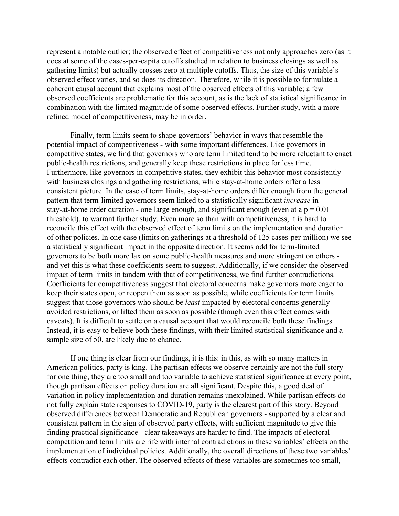represent a notable outlier; the observed effect of competitiveness not only approaches zero (as it does at some of the cases-per-capita cutoffs studied in relation to business closings as well as gathering limits) but actually crosses zero at multiple cutoffs. Thus, the size of this variable's observed effect varies, and so does its direction. Therefore, while it is possible to formulate a coherent causal account that explains most of the observed effects of this variable; a few observed coefficients are problematic for this account, as is the lack of statistical significance in combination with the limited magnitude of some observed effects. Further study, with a more refined model of competitiveness, may be in order.

Finally, term limits seem to shape governors' behavior in ways that resemble the potential impact of competitiveness - with some important differences. Like governors in competitive states, we find that governors who are term limited tend to be more reluctant to enact public-health restrictions, and generally keep these restrictions in place for less time. Furthermore, like governors in competitive states, they exhibit this behavior most consistently with business closings and gathering restrictions, while stay-at-home orders offer a less consistent picture. In the case of term limits, stay-at-home orders differ enough from the general pattern that term-limited governors seem linked to a statistically significant *increase* in stay-at-home order duration - one large enough, and significant enough (even at a  $p = 0.01$ ) threshold), to warrant further study. Even more so than with competitiveness, it is hard to reconcile this effect with the observed effect of term limits on the implementation and duration of other policies. In one case (limits on gatherings at a threshold of 125 cases-per-million) we see a statistically significant impact in the opposite direction. It seems odd for term-limited governors to be both more lax on some public-health measures and more stringent on others and yet this is what these coefficients seem to suggest. Additionally, if we consider the observed impact of term limits in tandem with that of competitiveness, we find further contradictions. Coefficients for competitiveness suggest that electoral concerns make governors more eager to keep their states open, or reopen them as soon as possible, while coefficients for term limits suggest that those governors who should be *least* impacted by electoral concerns generally avoided restrictions, or lifted them as soon as possible (though even this effect comes with caveats). It is difficult to settle on a causal account that would reconcile both these findings. Instead, it is easy to believe both these findings, with their limited statistical significance and a sample size of 50, are likely due to chance.

If one thing is clear from our findings, it is this: in this, as with so many matters in American politics, party is king. The partisan effects we observe certainly are not the full story for one thing, they are too small and too variable to achieve statistical significance at every point, though partisan effects on policy duration are all significant. Despite this, a good deal of variation in policy implementation and duration remains unexplained. While partisan effects do not fully explain state responses to COVID-19, party is the clearest part of this story. Beyond observed differences between Democratic and Republican governors - supported by a clear and consistent pattern in the sign of observed party effects, with sufficient magnitude to give this finding practical significance - clear takeaways are harder to find. The impacts of electoral competition and term limits are rife with internal contradictions in these variables' effects on the implementation of individual policies. Additionally, the overall directions of these two variables' effects contradict each other. The observed effects of these variables are sometimes too small,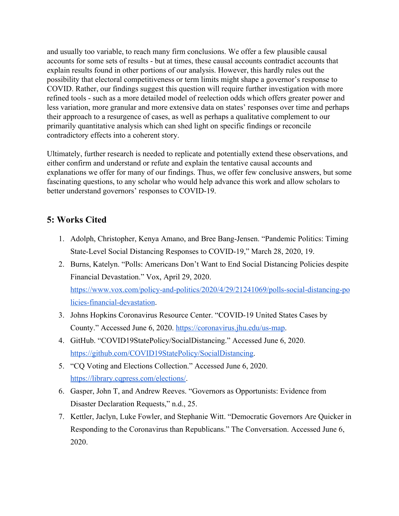and usually too variable, to reach many firm conclusions. We offer a few plausible causal accounts for some sets of results - but at times, these causal accounts contradict accounts that explain results found in other portions of our analysis. However, this hardly rules out the possibility that electoral competitiveness or term limits might shape a governor's response to COVID. Rather, our findings suggest this question will require further investigation with more refined tools - such as a more detailed model of reelection odds which offers greater power and less variation, more granular and more extensive data on states' responses over time and perhaps their approach to a resurgence of cases, as well as perhaps a qualitative complement to our primarily quantitative analysis which can shed light on specific findings or reconcile contradictory effects into a coherent story.

Ultimately, further research is needed to replicate and potentially extend these observations, and either confirm and understand or refute and explain the tentative causal accounts and explanations we offer for many of our findings. Thus, we offer few conclusive answers, but some fascinating questions, to any scholar who would help advance this work and allow scholars to better understand governors' responses to COVID-19.

# **5: Works Cited**

- 1. Adolph, Christopher, Kenya Amano, and Bree Bang-Jensen. "Pandemic Politics: Timing State-Level Social Distancing Responses to COVID-19," March 28, 2020, 19.
- 2. Burns, Katelyn. "Polls: Americans Don't Want to End Social Distancing Policies despite Financial Devastation." Vox, April 29, 2020[.](https://www.vox.com/policy-and-politics/2020/4/29/21241069/polls-social-distancing-policies-financial-devastation) [https://www.vox.com/policy-and-politics/2020/4/29/21241069/polls-social-distancing-po](https://www.vox.com/policy-and-politics/2020/4/29/21241069/polls-social-distancing-policies-financial-devastation)

[licies-financial-devastation.](https://www.vox.com/policy-and-politics/2020/4/29/21241069/polls-social-distancing-policies-financial-devastation) 3. Johns Hopkins Coronavirus Resource Center. "COVID-19 United States Cases by

- County." Accessed June 6, 2020. <https://coronavirus.jhu.edu/us-map>.
- 4. GitHub. "COVID19StatePolicy/SocialDistancing." Accessed June 6, 2020. [https://github.com/COVID19StatePolicy/SocialDistancing.](https://github.com/COVID19StatePolicy/SocialDistancing)
- 5. "CQ Voting and Elections Collection." Accessed June 6, 2020. <https://library.cqpress.com/elections/>.
- 6. Gasper, John T, and Andrew Reeves. "Governors as Opportunists: Evidence from Disaster Declaration Requests," n.d., 25.
- 7. Kettler, Jaclyn, Luke Fowler, and Stephanie Witt. "Democratic Governors Are Quicker in Responding to the Coronavirus than Republicans." The Conversation. Accessed June 6, 2020.